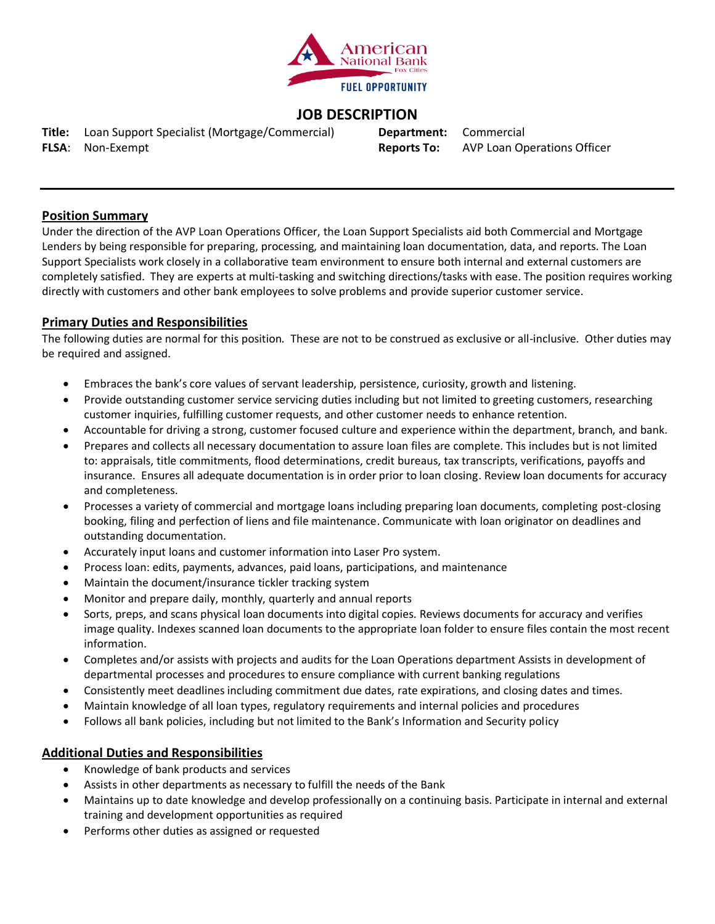

# **JOB DESCRIPTION**

**Title:** Loan Support Specialist (Mortgage/Commercial) **FLSA**: Non-Exempt

**Department:** Commercial **Reports To:** AVP Loan Operations Officer

# **Position Summary**

Under the direction of the AVP Loan Operations Officer, the Loan Support Specialists aid both Commercial and Mortgage Lenders by being responsible for preparing, processing, and maintaining loan documentation, data, and reports. The Loan Support Specialists work closely in a collaborative team environment to ensure both internal and external customers are completely satisfied. They are experts at multi-tasking and switching directions/tasks with ease. The position requires working directly with customers and other bank employees to solve problems and provide superior customer service.

# **Primary Duties and Responsibilities**

The following duties are normal for this position. These are not to be construed as exclusive or all-inclusive. Other duties may be required and assigned.

- Embraces the bank's core values of servant leadership, persistence, curiosity, growth and listening.
- Provide outstanding customer service servicing duties including but not limited to greeting customers, researching customer inquiries, fulfilling customer requests, and other customer needs to enhance retention.
- Accountable for driving a strong, customer focused culture and experience within the department, branch, and bank.
- Prepares and collects all necessary documentation to assure loan files are complete. This includes but is not limited to: appraisals, title commitments, flood determinations, credit bureaus, tax transcripts, verifications, payoffs and insurance. Ensures all adequate documentation is in order prior to loan closing. Review loan documents for accuracy and completeness.
- Processes a variety of commercial and mortgage loans including preparing loan documents, completing post-closing booking, filing and perfection of liens and file maintenance. Communicate with loan originator on deadlines and outstanding documentation.
- Accurately input loans and customer information into Laser Pro system.
- Process loan: edits, payments, advances, paid loans, participations, and maintenance
- Maintain the document/insurance tickler tracking system
- Monitor and prepare daily, monthly, quarterly and annual reports
- Sorts, preps, and scans physical loan documents into digital copies. Reviews documents for accuracy and verifies image quality. Indexes scanned loan documents to the appropriate loan folder to ensure files contain the most recent information.
- Completes and/or assists with projects and audits for the Loan Operations department Assists in development of departmental processes and procedures to ensure compliance with current banking regulations
- Consistently meet deadlines including commitment due dates, rate expirations, and closing dates and times.
- Maintain knowledge of all loan types, regulatory requirements and internal policies and procedures
- Follows all bank policies, including but not limited to the Bank's Information and Security policy

# **Additional Duties and Responsibilities**

- Knowledge of bank products and services
- Assists in other departments as necessary to fulfill the needs of the Bank
- Maintains up to date knowledge and develop professionally on a continuing basis. Participate in internal and external training and development opportunities as required
- Performs other duties as assigned or requested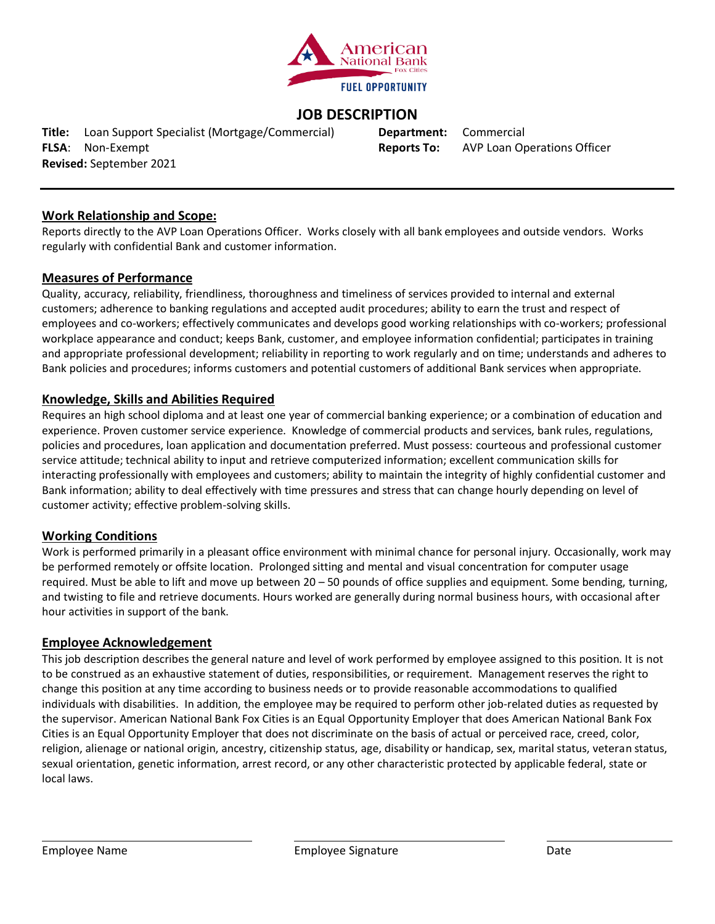

# **JOB DESCRIPTION**

**Title:** Loan Support Specialist (Mortgage/Commercial) **Department:** Commercial **FLSA**: Non-Exempt **Reports To:** AVP Loan Operations Officer **Revised:** September 2021

# **Work Relationship and Scope:**

Reports directly to the AVP Loan Operations Officer. Works closely with all bank employees and outside vendors. Works regularly with confidential Bank and customer information.

#### **Measures of Performance**

Quality, accuracy, reliability, friendliness, thoroughness and timeliness of services provided to internal and external customers; adherence to banking regulations and accepted audit procedures; ability to earn the trust and respect of employees and co-workers; effectively communicates and develops good working relationships with co-workers; professional workplace appearance and conduct; keeps Bank, customer, and employee information confidential; participates in training and appropriate professional development; reliability in reporting to work regularly and on time; understands and adheres to Bank policies and procedures; informs customers and potential customers of additional Bank services when appropriate.

#### **Knowledge, Skills and Abilities Required**

Requires an high school diploma and at least one year of commercial banking experience; or a combination of education and experience. Proven customer service experience. Knowledge of commercial products and services, bank rules, regulations, policies and procedures, loan application and documentation preferred. Must possess: courteous and professional customer service attitude; technical ability to input and retrieve computerized information; excellent communication skills for interacting professionally with employees and customers; ability to maintain the integrity of highly confidential customer and Bank information; ability to deal effectively with time pressures and stress that can change hourly depending on level of customer activity; effective problem-solving skills.

# **Working Conditions**

Work is performed primarily in a pleasant office environment with minimal chance for personal injury. Occasionally, work may be performed remotely or offsite location. Prolonged sitting and mental and visual concentration for computer usage required. Must be able to lift and move up between 20 – 50 pounds of office supplies and equipment. Some bending, turning, and twisting to file and retrieve documents. Hours worked are generally during normal business hours, with occasional after hour activities in support of the bank.

#### **Employee Acknowledgement**

This job description describes the general nature and level of work performed by employee assigned to this position. It is not to be construed as an exhaustive statement of duties, responsibilities, or requirement. Management reserves the right to change this position at any time according to business needs or to provide reasonable accommodations to qualified individuals with disabilities. In addition, the employee may be required to perform other job-related duties as requested by the supervisor. American National Bank Fox Cities is an Equal Opportunity Employer that does American National Bank Fox Cities is an Equal Opportunity Employer that does not discriminate on the basis of actual or perceived race, creed, color, religion, alienage or national origin, ancestry, citizenship status, age, disability or handicap, sex, marital status, veteran status, sexual orientation, genetic information, arrest record, or any other characteristic protected by applicable federal, state or local laws.